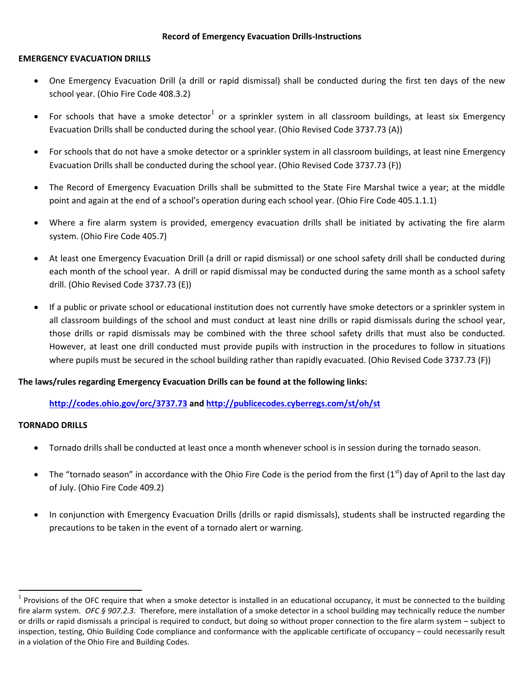## **EMERGENCY EVACUATION DRILLS**

- One Emergency Evacuation Drill (a drill or rapid dismissal) shall be conducted during the first ten days of the new school year. (Ohio Fire Code 408.3.2)
- For schools that have a smoke detector<sup>1</sup> or a sprinkler system in all classroom buildings, at least six Emergency Evacuation Drills shall be conducted during the school year. (Ohio Revised Code 3737.73 (A))
- For schools that do not have a smoke detector or a sprinkler system in all classroom buildings, at least nine Emergency Evacuation Drills shall be conducted during the school year. (Ohio Revised Code 3737.73 (F))
- The Record of Emergency Evacuation Drills shall be submitted to the State Fire Marshal twice a year; at the middle point and again at the end of a school's operation during each school year. (Ohio Fire Code 405.1.1.1)
- Where a fire alarm system is provided, emergency evacuation drills shall be initiated by activating the fire alarm system. (Ohio Fire Code 405.7)
- At least one Emergency Evacuation Drill (a drill or rapid dismissal) or one school safety drill shall be conducted during each month of the school year. A drill or rapid dismissal may be conducted during the same month as a school safety drill. (Ohio Revised Code 3737.73 (E))
- If a public or private school or educational institution does not currently have smoke detectors or a sprinkler system in all classroom buildings of the school and must conduct at least nine drills or rapid dismissals during the school year, those drills or rapid dismissals may be combined with the three school safety drills that must also be conducted. However, at least one drill conducted must provide pupils with instruction in the procedures to follow in situations where pupils must be secured in the school building rather than rapidly evacuated. (Ohio Revised Code 3737.73 (F))

# **The laws/rules regarding Emergency Evacuation Drills can be found at the following links:**

# **<http://codes.ohio.gov/orc/3737.73> and<http://publicecodes.cyberregs.com/st/oh/st>**

# **TORNADO DRILLS**

 $\overline{a}$ 

- Tornado drills shall be conducted at least once a month whenever school is in session during the tornado season.
- The "tornado season" in accordance with the Ohio Fire Code is the period from the first (1st) day of April to the last day of July. (Ohio Fire Code 409.2)
- In conjunction with Emergency Evacuation Drills (drills or rapid dismissals), students shall be instructed regarding the precautions to be taken in the event of a tornado alert or warning.

 $1$  Provisions of the OFC require that when a smoke detector is installed in an educational occupancy, it must be connected to the building fire alarm system. *OFC § 907.2.3*. Therefore, mere installation of a smoke detector in a school building may technically reduce the number or drills or rapid dismissals a principal is required to conduct, but doing so without proper connection to the fire alarm system – subject to inspection, testing, Ohio Building Code compliance and conformance with the applicable certificate of occupancy – could necessarily result in a violation of the Ohio Fire and Building Codes.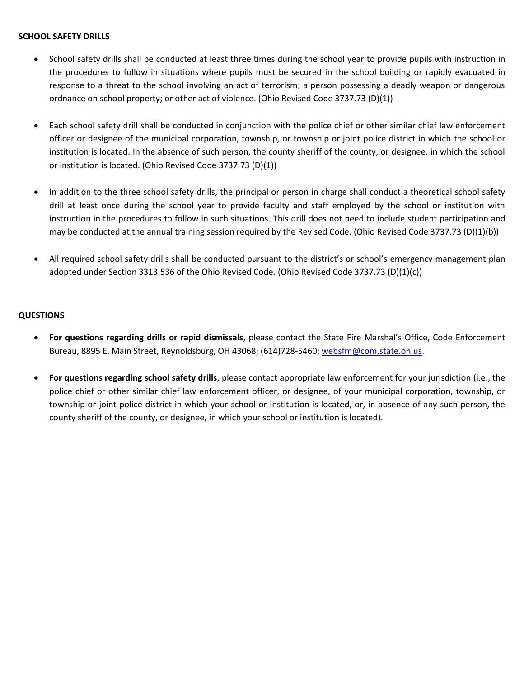### **SCHOOL SAFETY DRILLS**

- School safety drills shall be conducted at least three times during the school year to provide pupils with instruction in the procedures to follow in situations where pupils must be secured in the school building or rapidly evacuated in response to a threat to the school involving an act of terrorism; a person possessing a deadly weapon or dangerous ordnance on school property; or other act of violence. (Ohio Revised Code 3737.73 (D)(1))
- Each school safety drill shall be conducted in conjunction with the police chief or other similar chief law enforcement officer or designee of the municipal corporation, township, or township or joint police district in which the school or institution is located. In the absence of such person, the county sheriff of the county, or designee, in which the school or institution is located. (Ohio Revised Code 3737.73 (D)(1))
- In addition to the three school safety drills, the principal or person in charge shall conduct a theoretical school safety drill at least once during the school year to provide faculty and staff employed by the school or institution with instruction in the procedures to follow in such situations. This drill does not need to include student participation and may be conducted at the annual training session required by the Revised Code. (Ohio Revised Code 3737.73 (D)(1)(b))
- All required school safety drills shall be conducted pursuant to the district's or school's emergency management plan adopted under Section 3313.536 of the Ohio Revised Code. (Ohio Revised Code 3737.73 (D)(1)(c))

## **QUESTIONS**

- **For questions regarding drills or rapid dismissals**, please contact the State Fire Marshal's Office, Code Enforcement Bureau, 8895 E. Main Street, Reynoldsburg, OH 43068; (614)728-5460; [websfm@com.state.oh.us.](mailto:websfm@com.state.oh.us)
- **For questions regarding school safety drills**, please contact appropriate law enforcement for your jurisdiction (i.e., the police chief or other similar chief law enforcement officer, or designee, of your municipal corporation, township, or township or joint police district in which your school or institution is located, or, in absence of any such person, the county sheriff of the county, or designee, in which your school or institution is located).